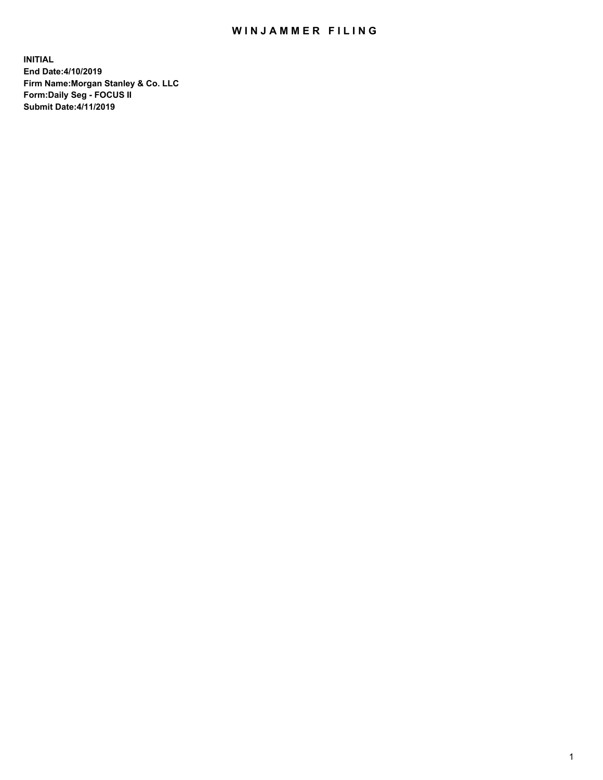## WIN JAMMER FILING

**INITIAL End Date:4/10/2019 Firm Name:Morgan Stanley & Co. LLC Form:Daily Seg - FOCUS II Submit Date:4/11/2019**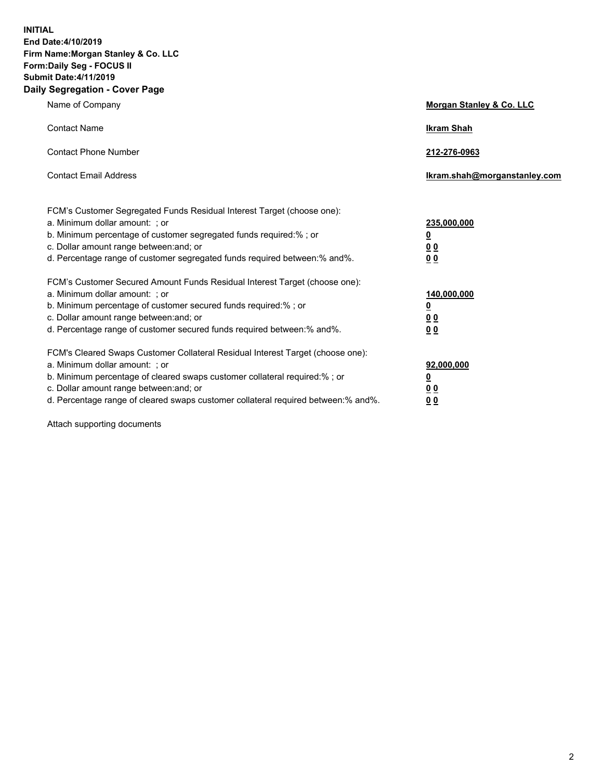**INITIAL End Date:4/10/2019 Firm Name:Morgan Stanley & Co. LLC Form:Daily Seg - FOCUS II Submit Date:4/11/2019 Daily Segregation - Cover Page**

| Name of Company                                                                                                                                                                                                                                                                                                                                                                                          | Morgan Stanley & Co. LLC                                                |
|----------------------------------------------------------------------------------------------------------------------------------------------------------------------------------------------------------------------------------------------------------------------------------------------------------------------------------------------------------------------------------------------------------|-------------------------------------------------------------------------|
| <b>Contact Name</b>                                                                                                                                                                                                                                                                                                                                                                                      | <b>Ikram Shah</b>                                                       |
| <b>Contact Phone Number</b>                                                                                                                                                                                                                                                                                                                                                                              | 212-276-0963                                                            |
| <b>Contact Email Address</b>                                                                                                                                                                                                                                                                                                                                                                             | Ikram.shah@morganstanley.com                                            |
| FCM's Customer Segregated Funds Residual Interest Target (choose one):<br>a. Minimum dollar amount: ; or<br>b. Minimum percentage of customer segregated funds required:% ; or<br>c. Dollar amount range between: and; or<br>d. Percentage range of customer segregated funds required between: % and %.                                                                                                 | 235,000,000<br><u>0</u><br><u>00</u>                                    |
| FCM's Customer Secured Amount Funds Residual Interest Target (choose one):<br>a. Minimum dollar amount: ; or<br>b. Minimum percentage of customer secured funds required:%; or<br>c. Dollar amount range between: and; or                                                                                                                                                                                | 0 <sup>0</sup><br>140,000,000<br><u>0</u><br>0 <sub>0</sub>             |
| d. Percentage range of customer secured funds required between:% and%.<br>FCM's Cleared Swaps Customer Collateral Residual Interest Target (choose one):<br>a. Minimum dollar amount: ; or<br>b. Minimum percentage of cleared swaps customer collateral required:% ; or<br>c. Dollar amount range between: and; or<br>d. Percentage range of cleared swaps customer collateral required between:% and%. | 0 <sub>0</sub><br>92,000,000<br><u>0</u><br><u>00</u><br>0 <sup>0</sup> |

Attach supporting documents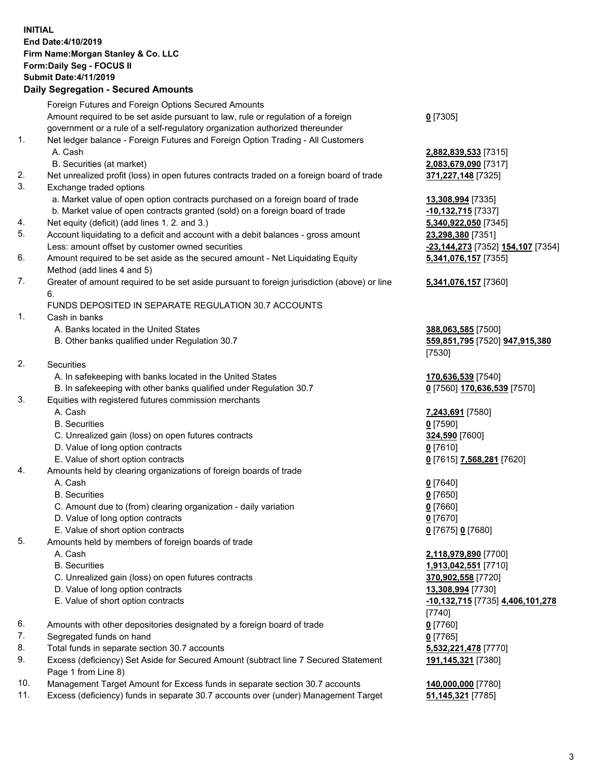## **INITIAL End Date:4/10/2019 Firm Name:Morgan Stanley & Co. LLC Form:Daily Seg - FOCUS II Submit Date:4/11/2019**

## **Daily Segregation - Secured Amounts**

|    | Foreign Futures and Foreign Options Secured Amounts                                                |                                            |
|----|----------------------------------------------------------------------------------------------------|--------------------------------------------|
|    | Amount required to be set aside pursuant to law, rule or regulation of a foreign                   | $0$ [7305]                                 |
|    | government or a rule of a self-regulatory organization authorized thereunder                       |                                            |
| 1. | Net ledger balance - Foreign Futures and Foreign Option Trading - All Customers                    |                                            |
|    | A. Cash                                                                                            | 2,882,839,533 [7315]                       |
|    | B. Securities (at market)                                                                          | 2,083,679,090 [7317]                       |
| 2. | Net unrealized profit (loss) in open futures contracts traded on a foreign board of trade          | 371,227,148 [7325]                         |
| 3. | Exchange traded options                                                                            |                                            |
|    | a. Market value of open option contracts purchased on a foreign board of trade                     | 13,308,994 [7335]                          |
|    | b. Market value of open contracts granted (sold) on a foreign board of trade                       | -10,132,715 [7337]                         |
| 4. | Net equity (deficit) (add lines 1.2. and 3.)                                                       | 5,340,922,050 [7345]                       |
| 5. | Account liquidating to a deficit and account with a debit balances - gross amount                  | 23,298,380 [7351]                          |
|    | Less: amount offset by customer owned securities                                                   | <u>-23,144,273</u> [7352] 1                |
| 6. | Amount required to be set aside as the secured amount - Net Liquidating Equity                     | 5,341,076,157 [7355]                       |
|    | Method (add lines 4 and 5)                                                                         |                                            |
| 7. | Greater of amount required to be set aside pursuant to foreign jurisdiction (above) or line        | 5,341,076,157 [7360]                       |
|    | 6.                                                                                                 |                                            |
|    | FUNDS DEPOSITED IN SEPARATE REGULATION 30.7 ACCOUNTS                                               |                                            |
| 1. | Cash in banks                                                                                      |                                            |
|    | A. Banks located in the United States                                                              | 388,063,585 [7500]                         |
|    | B. Other banks qualified under Regulation 30.7                                                     | 559,851,795 [7520] 9                       |
|    |                                                                                                    | [7530]                                     |
| 2. | Securities                                                                                         |                                            |
|    | A. In safekeeping with banks located in the United States                                          | 170,636,539 [7540]                         |
|    | B. In safekeeping with other banks qualified under Regulation 30.7                                 | 0 [7560] 170,636,539                       |
| 3. | Equities with registered futures commission merchants                                              |                                            |
|    | A. Cash                                                                                            | 7,243,691 [7580]                           |
|    | <b>B.</b> Securities                                                                               | $0$ [7590]                                 |
|    | C. Unrealized gain (loss) on open futures contracts                                                | 324,590 [7600]                             |
|    | D. Value of long option contracts                                                                  | $0$ [7610]                                 |
|    | E. Value of short option contracts                                                                 | 0 [7615] 7,568,281 [7                      |
| 4. | Amounts held by clearing organizations of foreign boards of trade                                  |                                            |
|    | A. Cash                                                                                            | $0$ [7640]                                 |
|    | <b>B.</b> Securities                                                                               | $0$ [7650]                                 |
|    | C. Amount due to (from) clearing organization - daily variation                                    | $0$ [7660]                                 |
|    | D. Value of long option contracts                                                                  | $0$ [7670]                                 |
| 5. | E. Value of short option contracts                                                                 | 0 [7675] 0 [7680]                          |
|    | Amounts held by members of foreign boards of trade                                                 |                                            |
|    | A. Cash                                                                                            | 2,118,979,890 [7700]                       |
|    | <b>B.</b> Securities                                                                               | 1,913,042,551 [7710]                       |
|    | C. Unrealized gain (loss) on open futures contracts<br>D. Value of long option contracts           | 370,902,558 [7720]                         |
|    |                                                                                                    | 13,308,994 [7730]                          |
|    | E. Value of short option contracts                                                                 | <u>-10,132,715</u> [7735] <u>4.</u>        |
| 6. |                                                                                                    | [7740]<br>$0$ [7760]                       |
| 7. | Amounts with other depositories designated by a foreign board of trade<br>Segregated funds on hand |                                            |
| 8. | Total funds in separate section 30.7 accounts                                                      | $0$ [7765]                                 |
| 9. | Excess (deficiency) Set Aside for Secured Amount (subtract line 7 Secured Statement                | 5,532,221,478 [7770]<br>191,145,321 [7380] |
|    | Page 1 from Line 8)                                                                                |                                            |
|    |                                                                                                    |                                            |

- 10. Management Target Amount for Excess funds in separate section 30.7 accounts **140,000,000** [7780]
- 11. Excess (deficiency) funds in separate 30.7 accounts over (under) Management Target **51,145,321** [7785]

Less: amount offset by customer owned securities **-23,144,273** [7352] **154,107** [7354] **5,341,076,157** [7355]

## **5,341,076,157** [7360]

B. Other banks qualified under Regulation 30.7 **559,851,795** [7520] **947,915,380**

 **[7570]** 

E. Value of short option contracts **0** [7615] **7,568,281** [7620]

 E. Value of short option contracts **-10,132,715** [7735] **4,406,101,278 191,145,321** [7380]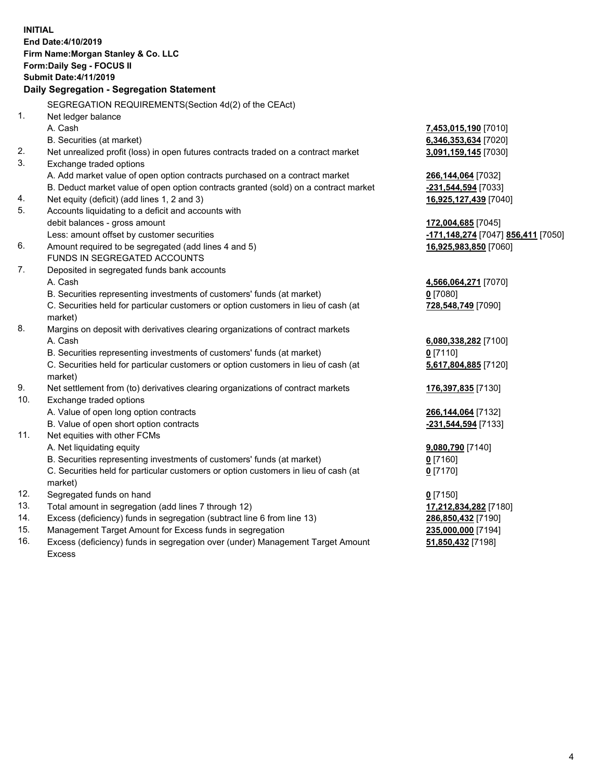|     | <b>INITIAL</b><br>End Date: 4/10/2019<br>Firm Name: Morgan Stanley & Co. LLC<br>Form: Daily Seg - FOCUS II<br><b>Submit Date: 4/11/2019</b> |                                                        |
|-----|---------------------------------------------------------------------------------------------------------------------------------------------|--------------------------------------------------------|
|     | Daily Segregation - Segregation Statement                                                                                                   |                                                        |
|     | SEGREGATION REQUIREMENTS (Section 4d(2) of the CEAct)                                                                                       |                                                        |
| 1.  | Net ledger balance                                                                                                                          |                                                        |
|     | A. Cash                                                                                                                                     | <u>7,453,015,190</u> [7010]                            |
|     | B. Securities (at market)                                                                                                                   | 6,346,353,634 [7020]                                   |
| 2.  | Net unrealized profit (loss) in open futures contracts traded on a contract market                                                          | <u>3,091,159,145</u> [7030]                            |
| 3.  | Exchange traded options                                                                                                                     |                                                        |
|     | A. Add market value of open option contracts purchased on a contract market                                                                 | <u>266,144,064</u> [7032]                              |
|     | B. Deduct market value of open option contracts granted (sold) on a contract market                                                         | -231,544,594 [7033]                                    |
| 4.  | Net equity (deficit) (add lines 1, 2 and 3)                                                                                                 | <u>16,925,127,439</u> [7040]                           |
| 5.  | Accounts liquidating to a deficit and accounts with                                                                                         |                                                        |
|     | debit balances - gross amount                                                                                                               | 172,004,685 [7045]                                     |
|     | Less: amount offset by customer securities                                                                                                  | <mark>-171,148,274</mark> [7047] <b>856,411</b> [7050] |
| 6.  | Amount required to be segregated (add lines 4 and 5)                                                                                        | 16,925,983,850 [7060]                                  |
|     | <b>FUNDS IN SEGREGATED ACCOUNTS</b>                                                                                                         |                                                        |
| 7.  | Deposited in segregated funds bank accounts                                                                                                 |                                                        |
|     | A. Cash                                                                                                                                     | 4,566,064,271 [7070]                                   |
|     | B. Securities representing investments of customers' funds (at market)                                                                      | $0$ [7080]                                             |
|     | C. Securities held for particular customers or option customers in lieu of cash (at<br>market)                                              | 728,548,749 [7090]                                     |
| 8.  | Margins on deposit with derivatives clearing organizations of contract markets                                                              |                                                        |
|     | A. Cash                                                                                                                                     | 6,080,338,282 [7100]                                   |
|     | B. Securities representing investments of customers' funds (at market)                                                                      | $0$ [7110]                                             |
|     | C. Securities held for particular customers or option customers in lieu of cash (at<br>market)                                              | <u>5,617,804,885</u> [7120]                            |
| 9.  | Net settlement from (to) derivatives clearing organizations of contract markets                                                             | <u>176,397,835</u> [7130]                              |
| 10. | Exchange traded options                                                                                                                     |                                                        |
|     | A. Value of open long option contracts                                                                                                      | <u>266,144,064</u> [7132]                              |
|     | B. Value of open short option contracts                                                                                                     | -231,544,594 [7133]                                    |
| 11. | Net equities with other FCMs                                                                                                                |                                                        |
|     | A. Net liquidating equity                                                                                                                   | 9,080,790 [7140]                                       |
|     | B. Securities representing investments of customers' funds (at market)                                                                      | $0$ [7160]                                             |
|     | C. Securities held for particular customers or option customers in lieu of cash (at                                                         | $0$ [7170]                                             |
|     | market)                                                                                                                                     |                                                        |
| 12. | Segregated funds on hand                                                                                                                    | $0$ [7150]                                             |
| 13. | Total amount in segregation (add lines 7 through 12)                                                                                        | 17,212,834,282 [7180]                                  |
| 14. | Excess (deficiency) funds in segregation (subtract line 6 from line 13)                                                                     | 286,850,432 [7190]                                     |
| 15. | Management Target Amount for Excess funds in segregation                                                                                    | 235,000,000 [7194]                                     |

16. Excess (deficiency) funds in segregation over (under) Management Target Amount Excess

**51,850,432** [7198]